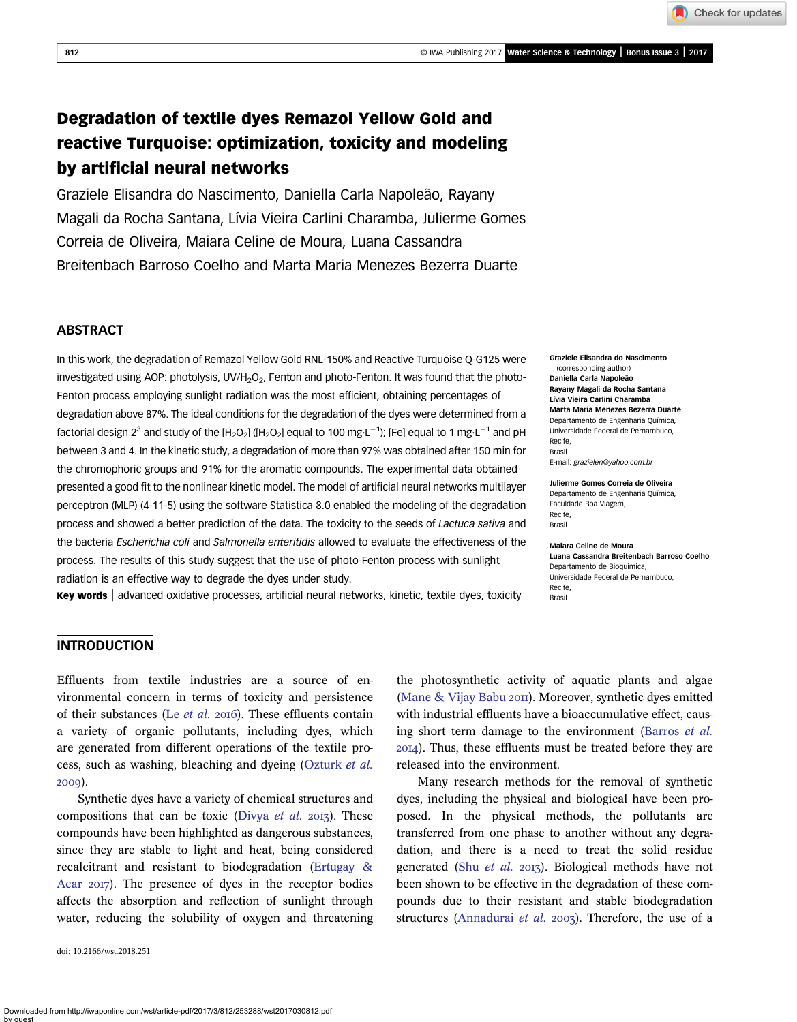Check for updates

# Degradation of textile dyes Remazol Yellow Gold and reactive Turquoise: optimization, toxicity and modeling by artificial neural networks

Graziele Elisandra do Nascimento, Daniella Carla Napoleão, Rayany Magali da Rocha Santana, Lívia Vieira Carlini Charamba, Julierme Gomes Correia de Oliveira, Maiara Celine de Moura, Luana Cassandra Breitenbach Barroso Coelho and Marta Maria Menezes Bezerra Duarte

# **ABSTRACT**

In this work, the degradation of Remazol Yellow Gold RNL-150% and Reactive Turquoise Q-G125 were investigated using AOP: photolysis, UV/H<sub>2</sub>O<sub>2</sub>, Fenton and photo-Fenton. It was found that the photo-Fenton process employing sunlight radiation was the most efficient, obtaining percentages of degradation above 87%. The ideal conditions for the degradation of the dyes were determined from a factorial design 2<sup>3</sup> and study of the [H<sub>2</sub>O<sub>2</sub>] ([H<sub>2</sub>O<sub>2</sub>] equal to 100 mg·L<sup>-1</sup>); [Fe] equal to 1 mg·L<sup>-1</sup> and pH between 3 and 4. In the kinetic study, a degradation of more than 97% was obtained after 150 min for the chromophoric groups and 91% for the aromatic compounds. The experimental data obtained presented a good fit to the nonlinear kinetic model. The model of artificial neural networks multilayer perceptron (MLP) (4-11-5) using the software Statistica 8.0 enabled the modeling of the degradation process and showed a better prediction of the data. The toxicity to the seeds of Lactuca sativa and the bacteria Escherichia coli and Salmonella enteritidis allowed to evaluate the effectiveness of the process. The results of this study suggest that the use of photo-Fenton process with sunlight radiation is an effective way to degrade the dyes under study.

**Key words** advanced oxidative processes, artificial neural networks, kinetic, textile dyes, toxicity  $\frac{1}{BTS}$ 

Graziele Elisandra do Nascimento (corresponding author) Daniella Carla Napoleão Rayany Magali da Rocha Santana Lívia Vieira Carlini Charamba Marta Maria Menezes Bezerra Duarte Departamento de Engenharia Química, Universidade Federal de Pernambuco, Recife, Brasil E-mail: [grazielen@yahoo.com.br](mailto:grazielen@yahoo.com.br)

Julierme Gomes Correia de Oliveira Departamento de Engenharia Química, Faculdade Boa Viagem, Recife, Brasil

Maiara Celine de Moura Luana Cassandra Breitenbach Barroso Coelho Departamento de Bioquímica, Universidade Federal de Pernambuco, Recife,

# INTRODUCTION

Effluents from textile industries are a source of environmental concern in terms of toxicity and persistence of their substances (Le  $et$  al. 2016). These effluents contain a variety of organic pollutants, including dyes, which are generated from different operations of the textile process, such as washing, bleaching and dyeing ([Ozturk](#page-11-0) et al. 2009).

Synthetic dyes have a variety of chemical structures and compositions that can be toxic ([Divya](#page-10-0) *et al.* 2013). These compounds have been highlighted as dangerous substances, since they are stable to light and heat, being considered recalcitrant and resistant to biodegradation ([Ertugay &](#page-10-0) [Acar](#page-10-0) 2017). The presence of dyes in the receptor bodies affects the absorption and reflection of sunlight through water, reducing the solubility of oxygen and threatening

doi: 10.2166/wst.2018.251

the photosynthetic activity of aquatic plants and algae (Mane  $&$  Vijay Babu 2011). Moreover, synthetic dyes emitted with industrial effluents have a bioaccumulative effect, causing short term damage to the environment ([Barros](#page-10-0) et al. ). Thus, these effluents must be treated before they are released into the environment.

Many research methods for the removal of synthetic dyes, including the physical and biological have been proposed. In the physical methods, the pollutants are transferred from one phase to another without any degradation, and there is a need to treat the solid residue generated (Shu [et al.](#page-11-0) 2013). Biological methods have not been shown to be effective in the degradation of these compounds due to their resistant and stable biodegradation structures ([Annadurai](#page-10-0) et al.  $2003$ ). Therefore, the use of a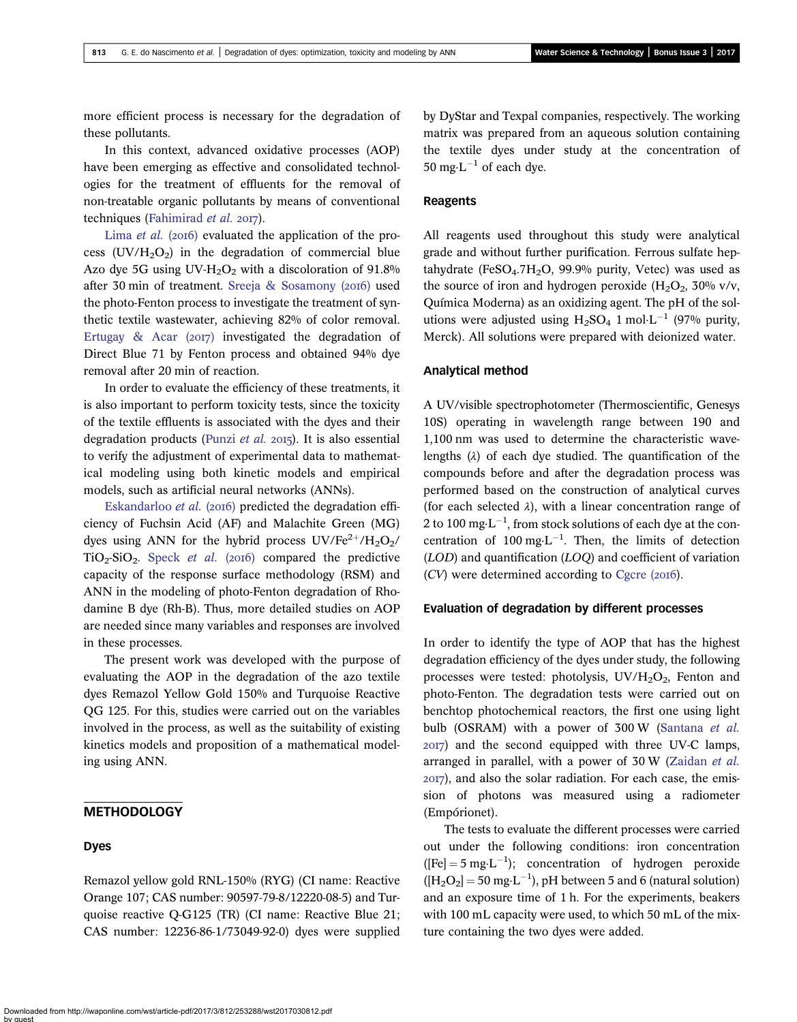more efficient process is necessary for the degradation of these pollutants.

In this context, advanced oxidative processes (AOP) have been emerging as effective and consolidated technologies for the treatment of effluents for the removal of non-treatable organic pollutants by means of conventional techniques ([Fahimirad](#page-10-0) et al. 2017).

[Lima](#page-11-0) *et al.* (2016) evaluated the application of the process  $(UV/H<sub>2</sub>O<sub>2</sub>)$  in the degradation of commercial blue Azo dye 5G using UV-H<sub>2</sub>O<sub>2</sub> with a discoloration of 91.8% after 30 min of treatment. Sreeja & Sosamony  $(2016)$  used the photo-Fenton process to investigate the treatment of synthetic textile wastewater, achieving 82% of color removal. Ertugay & Acar  $(2017)$  investigated the degradation of Direct Blue 71 by Fenton process and obtained 94% dye removal after 20 min of reaction.

In order to evaluate the efficiency of these treatments, it is also important to perform toxicity tests, since the toxicity of the textile effluents is associated with the dyes and their degradation products [\(Punzi](#page-11-0) et al.  $2015$ ). It is also essential to verify the adjustment of experimental data to mathematical modeling using both kinetic models and empirical models, such as artificial neural networks (ANNs).

[Eskandarloo](#page-10-0) *et al.* (2016) predicted the degradation efficiency of Fuchsin Acid (AF) and Malachite Green (MG) dyes using ANN for the hybrid process  $UV/Fe^{2+}/H_2O_2/$  $TiO<sub>2</sub>-SiO<sub>2</sub>$ . [Speck](#page-11-0) *et al.* (2016) compared the predictive capacity of the response surface methodology (RSM) and ANN in the modeling of photo-Fenton degradation of Rhodamine B dye (Rh-B). Thus, more detailed studies on AOP are needed since many variables and responses are involved in these processes.

The present work was developed with the purpose of evaluating the AOP in the degradation of the azo textile dyes Remazol Yellow Gold 150% and Turquoise Reactive QG 125. For this, studies were carried out on the variables involved in the process, as well as the suitability of existing kinetics models and proposition of a mathematical modeling using ANN.

# **METHODOLOGY**

#### Dyes

Remazol yellow gold RNL-150% (RYG) (CI name: Reactive Orange 107; CAS number: 90597-79-8/12220-08-5) and Turquoise reactive Q-G125 (TR) (CI name: Reactive Blue 21; CAS number: 12236-86-1/73049-92-0) dyes were supplied by DyStar and Texpal companies, respectively. The working matrix was prepared from an aqueous solution containing the textile dyes under study at the concentration of  $50 \text{ mg} \cdot \text{L}^{-1}$  of each dye.

## Reagents

All reagents used throughout this study were analytical grade and without further purification. Ferrous sulfate heptahydrate (FeSO<sub>4</sub>.7H<sub>2</sub>O, 99.9% purity, Vetec) was used as the source of iron and hydrogen peroxide  $(H_2O_2, 30\%$  v/v, Química Moderna) as an oxidizing agent. The pH of the solutions were adjusted using  $H_2SO_4$  1 mol $L^{-1}$  (97% purity, Merck). All solutions were prepared with deionized water.

#### Analytical method

A UV/visible spectrophotometer (Thermoscientific, Genesys 10S) operating in wavelength range between 190 and 1,100 nm was used to determine the characteristic wavelengths  $(\lambda)$  of each dye studied. The quantification of the compounds before and after the degradation process was performed based on the construction of analytical curves (for each selected  $\lambda$ ), with a linear concentration range of 2 to 100 mg $\cdot$ L<sup>-1</sup>, from stock solutions of each dye at the concentration of 100 mg $\cdot L^{-1}$ . Then, the limits of detection (LOD) and quantification (LOQ) and coefficient of variation  $(CV)$  were determined according to [Cgcre \(](#page-10-0)2016).

### Evaluation of degradation by different processes

In order to identify the type of AOP that has the highest degradation efficiency of the dyes under study, the following processes were tested: photolysis,  $UV/H<sub>2</sub>O<sub>2</sub>$ , Fenton and photo-Fenton. The degradation tests were carried out on benchtop photochemical reactors, the first one using light bulb (OSRAM) with a power of 300 W [\(Santana](#page-11-0) et al. ) and the second equipped with three UV-C lamps, arranged in parallel, with a power of 30 W [\(Zaidan](#page-11-0) et al. ), and also the solar radiation. For each case, the emission of photons was measured using a radiometer (Empórionet).

The tests to evaluate the different processes were carried out under the following conditions: iron concentration  $([Fe] = 5 \text{ mg} \cdot \text{L}^{-1})$ ; concentration of hydrogen peroxide  $([H_2O_2] = 50 \text{ mg} \cdot \text{L}^{-1})$ , pH between 5 and 6 (natural solution) and an exposure time of 1 h. For the experiments, beakers with 100 mL capacity were used, to which 50 mL of the mixture containing the two dyes were added.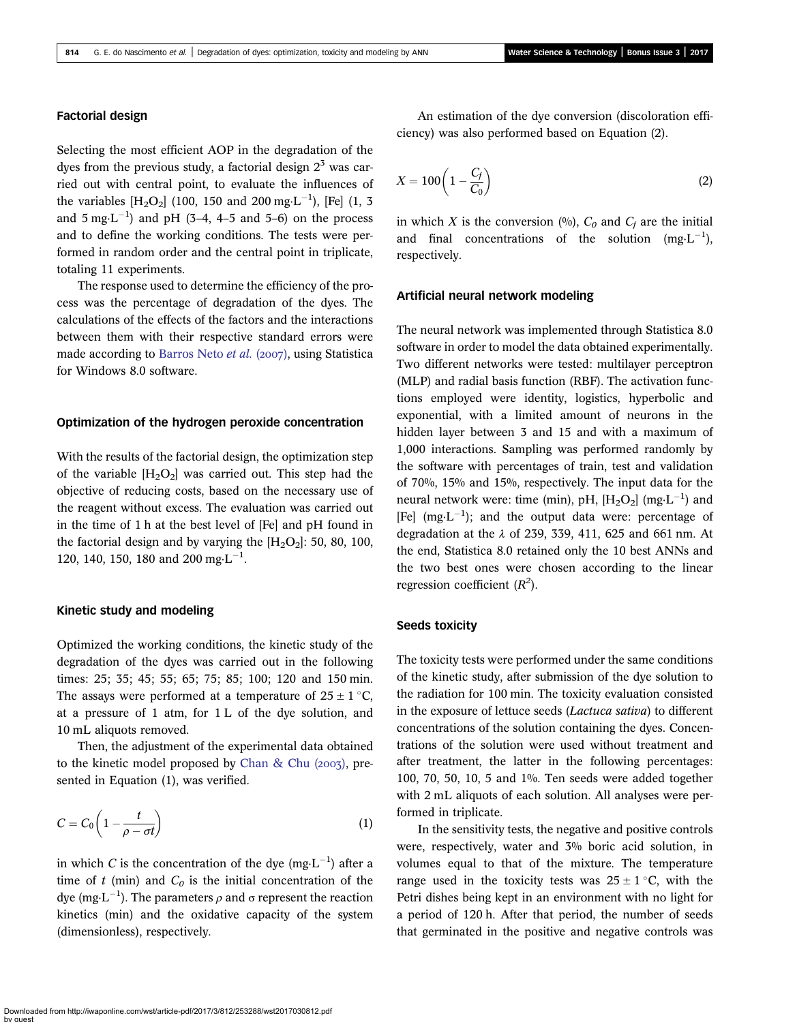## Factorial design

Selecting the most efficient AOP in the degradation of the dyes from the previous study, a factorial design  $2<sup>3</sup>$  was carried out with central point, to evaluate the influences of the variables  $[H_2O_2]$  (100, 150 and 200 mg·L<sup>-1</sup>), [Fe] (1, 3 and  $5 \text{ mg} \cdot \text{L}^{-1}$ ) and pH (3–4, 4–5 and 5–6) on the process and to define the working conditions. The tests were performed in random order and the central point in triplicate, totaling 11 experiments.

The response used to determine the efficiency of the process was the percentage of degradation of the dyes. The calculations of the effects of the factors and the interactions between them with their respective standard errors were made according to [Barros Neto](#page-10-0) et al. (2007), using Statistica for Windows 8.0 software.

## Optimization of the hydrogen peroxide concentration

With the results of the factorial design, the optimization step of the variable  $[H_2O_2]$  was carried out. This step had the objective of reducing costs, based on the necessary use of the reagent without excess. The evaluation was carried out in the time of 1 h at the best level of [Fe] and pH found in the factorial design and by varying the  $[H_2O_2]$ : 50, 80, 100, 120, 140, 150, 180 and 200 mg $\cdot L^{-1}$ .

## Kinetic study and modeling

Optimized the working conditions, the kinetic study of the degradation of the dyes was carried out in the following times: 25; 35; 45; 55; 65; 75; 85; 100; 120 and 150 min. The assays were performed at a temperature of  $25 \pm 1$  °C, at a pressure of 1 atm, for 1 L of the dye solution, and 10 mL aliquots removed.

Then, the adjustment of the experimental data obtained to the kinetic model proposed by Chan & Chu  $(2003)$ , presented in Equation (1), was verified.

$$
C = C_0 \left( 1 - \frac{t}{\rho - \sigma t} \right) \tag{1}
$$

in which C is the concentration of the dye (mg $\text{L}^{-1}$ ) after a time of t (min) and  $C_0$  is the initial concentration of the dye (mg $\cdot$ L<sup>-1</sup>). The parameters  $\rho$  and  $\sigma$  represent the reaction kinetics (min) and the oxidative capacity of the system (dimensionless), respectively.

An estimation of the dye conversion (discoloration efficiency) was also performed based on Equation (2).

$$
X = 100\left(1 - \frac{C_f}{C_0}\right) \tag{2}
$$

in which X is the conversion  $(%)$ ,  $C_0$  and  $C_f$  are the initial and final concentrations of the solution  $(mg \cdot L^{-1})$ , respectively.

## Artificial neural network modeling

The neural network was implemented through Statistica 8.0 software in order to model the data obtained experimentally. Two different networks were tested: multilayer perceptron (MLP) and radial basis function (RBF). The activation functions employed were identity, logistics, hyperbolic and exponential, with a limited amount of neurons in the hidden layer between 3 and 15 and with a maximum of 1,000 interactions. Sampling was performed randomly by the software with percentages of train, test and validation of 70%, 15% and 15%, respectively. The input data for the neural network were: time (min), pH,  $[H_2O_2]$  (mg·L<sup>-1</sup>) and [Fe]  $(mg \cdot L^{-1})$ ; and the output data were: percentage of degradation at the  $\lambda$  of 239, 339, 411, 625 and 661 nm. At the end, Statistica 8.0 retained only the 10 best ANNs and the two best ones were chosen according to the linear regression coefficient  $(R<sup>2</sup>)$ .

#### Seeds toxicity

The toxicity tests were performed under the same conditions of the kinetic study, after submission of the dye solution to the radiation for 100 min. The toxicity evaluation consisted in the exposure of lettuce seeds (Lactuca sativa) to different concentrations of the solution containing the dyes. Concentrations of the solution were used without treatment and after treatment, the latter in the following percentages: 100, 70, 50, 10, 5 and 1%. Ten seeds were added together with 2 mL aliquots of each solution. All analyses were performed in triplicate.

In the sensitivity tests, the negative and positive controls were, respectively, water and 3% boric acid solution, in volumes equal to that of the mixture. The temperature range used in the toxicity tests was  $25 \pm 1$  °C, with the Petri dishes being kept in an environment with no light for a period of 120 h. After that period, the number of seeds that germinated in the positive and negative controls was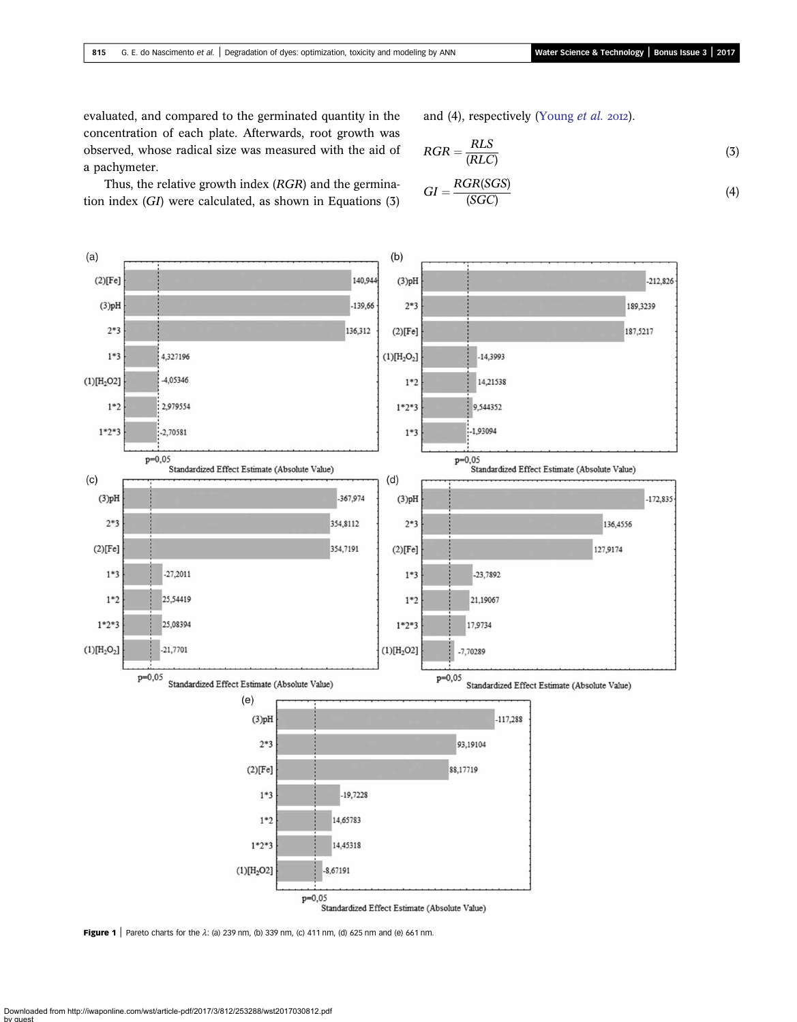<span id="page-3-0"></span>evaluated, and compared to the germinated quantity in the concentration of each plate. Afterwards, root growth was observed, whose radical size was measured with the aid of a pachymeter.

and (4), respectively [\(Young](#page-11-0)  $et$  al. 2012).

$$
RGR = \frac{RLS}{(RLC)}\tag{3}
$$

$$
GI = \frac{RGR(SGS)}{(SGC)}\tag{4}
$$

Thus, the relative growth index (RGR) and the germination index (GI) were calculated, as shown in Equations (3)



Figure 1 | Pareto charts for the  $\lambda$ : (a) 239 nm, (b) 339 nm, (c) 411 nm, (d) 625 nm and (e) 661 nm.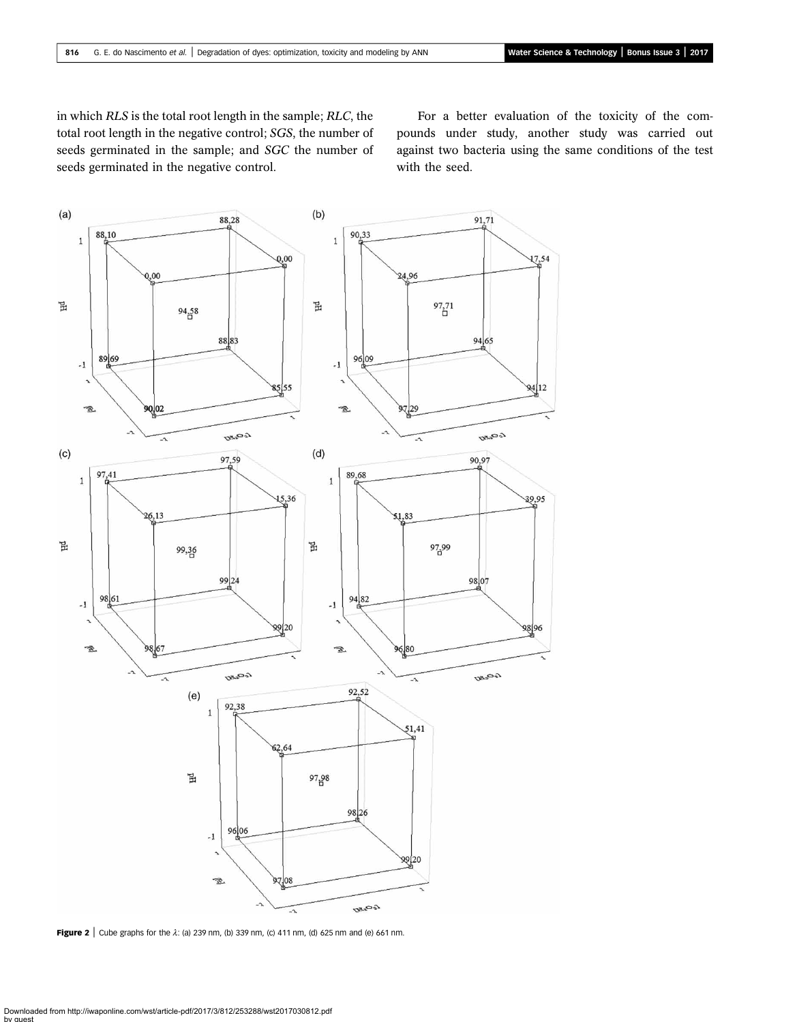<span id="page-4-0"></span>in which RLS is the total root length in the sample; RLC, the total root length in the negative control; SGS, the number of seeds germinated in the sample; and SGC the number of seeds germinated in the negative control.

For a better evaluation of the toxicity of the compounds under study, another study was carried out against two bacteria using the same conditions of the test with the seed.



Figure 2 | Cube graphs for the  $\lambda$ : (a) 239 nm, (b) 339 nm, (c) 411 nm, (d) 625 nm and (e) 661 nm.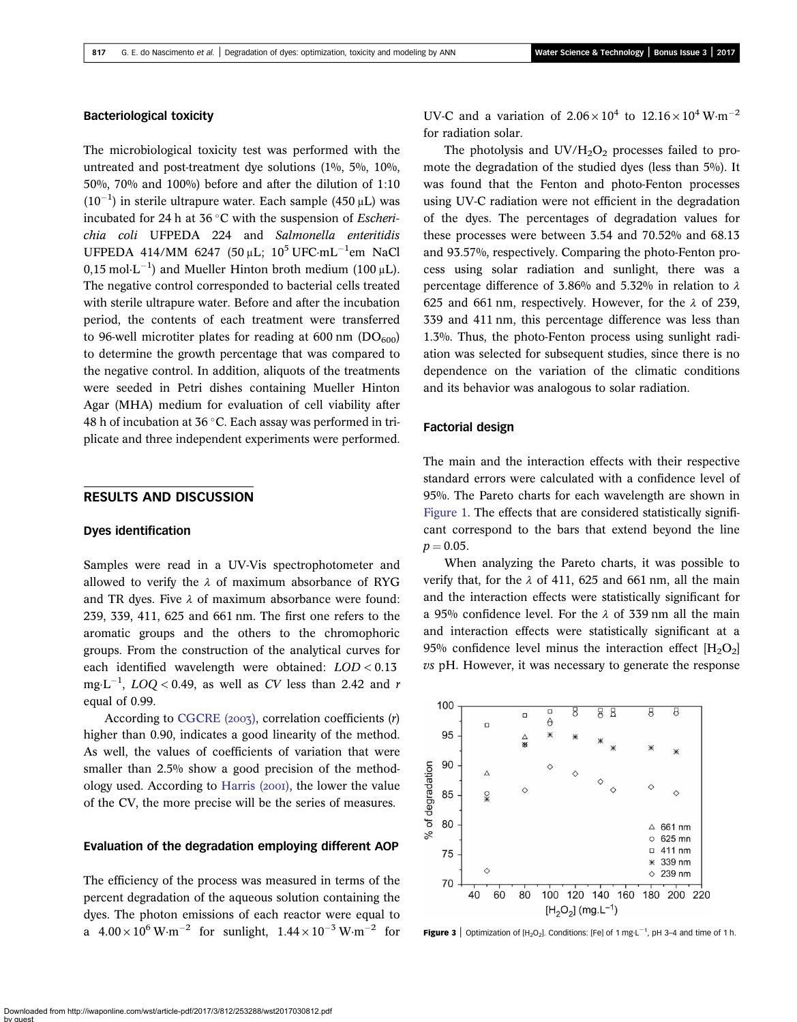## <span id="page-5-0"></span>Bacteriological toxicity

The microbiological toxicity test was performed with the untreated and post-treatment dye solutions (1%, 5%, 10%, 50%, 70% and 100%) before and after the dilution of 1:10  $(10^{-1})$  in sterile ultrapure water. Each sample  $(450 \,\mu L)$  was incubated for 24 h at 36  $\degree$ C with the suspension of *Escheri*chia coli UFPEDA 224 and Salmonella enteritidis UFPEDA 414/MM 6247 (50 µL;  $10^5$  UFC·mL<sup>-1</sup>em NaCl 0,15 mol $\cdot$ L<sup>-1</sup>) and Mueller Hinton broth medium (100  $\mu$ L). The negative control corresponded to bacterial cells treated with sterile ultrapure water. Before and after the incubation period, the contents of each treatment were transferred to 96-well microtiter plates for reading at 600 nm  $(DO_{600})$ to determine the growth percentage that was compared to the negative control. In addition, aliquots of the treatments were seeded in Petri dishes containing Mueller Hinton Agar (MHA) medium for evaluation of cell viability after 48 h of incubation at  $36^{\circ}$ C. Each assay was performed in triplicate and three independent experiments were performed.

# RESULTS AND DISCUSSION

### Dyes identification

Samples were read in a UV-Vis spectrophotometer and allowed to verify the  $\lambda$  of maximum absorbance of RYG and TR dyes. Five  $\lambda$  of maximum absorbance were found: 239, 339, 411, 625 and 661 nm. The first one refers to the aromatic groups and the others to the chromophoric groups. From the construction of the analytical curves for each identified wavelength were obtained: LOD < 0.13 mg·L<sup>-1</sup>,  $LOQ < 0.49$ , as well as CV less than 2.42 and r equal of 0.99.

According to CGCRE  $(2007)$ , correlation coefficients  $(r)$ higher than 0.90, indicates a good linearity of the method. As well, the values of coefficients of variation that were smaller than 2.5% show a good precision of the methodology used. According to Harris  $(200I)$ , the lower the value of the CV, the more precise will be the series of measures.

## Evaluation of the degradation employing different AOP

The efficiency of the process was measured in terms of the percent degradation of the aqueous solution containing the dyes. The photon emissions of each reactor were equal to a  $4.00 \times 10^6$  W·m<sup>-2</sup> for sunlight,  $1.44 \times 10^{-3}$  W·m<sup>-2</sup> for UV-C and a variation of  $2.06 \times 10^4$  to  $12.16 \times 10^4$  W·m<sup>-2</sup> for radiation solar.

The photolysis and  $UV/H_2O_2$  processes failed to promote the degradation of the studied dyes (less than 5%). It was found that the Fenton and photo-Fenton processes using UV-C radiation were not efficient in the degradation of the dyes. The percentages of degradation values for these processes were between 3.54 and 70.52% and 68.13 and 93.57%, respectively. Comparing the photo-Fenton process using solar radiation and sunlight, there was a percentage difference of 3.86% and 5.32% in relation to  $\lambda$ 625 and 661 nm, respectively. However, for the  $\lambda$  of 239, 339 and 411 nm, this percentage difference was less than 1.3%. Thus, the photo-Fenton process using sunlight radiation was selected for subsequent studies, since there is no dependence on the variation of the climatic conditions and its behavior was analogous to solar radiation.

## Factorial design

The main and the interaction effects with their respective standard errors were calculated with a confidence level of 95%. The Pareto charts for each wavelength are shown in [Figure 1.](#page-3-0) The effects that are considered statistically significant correspond to the bars that extend beyond the line  $p = 0.05$ .

When analyzing the Pareto charts, it was possible to verify that, for the  $\lambda$  of 411, 625 and 661 nm, all the main and the interaction effects were statistically significant for a 95% confidence level. For the  $\lambda$  of 339 nm all the main and interaction effects were statistically significant at a 95% confidence level minus the interaction effect  $[H_2O_2]$ vs pH. However, it was necessary to generate the response



**Figure 3** | Optimization of  $[H_2O_2]$ . Conditions: [Fe] of 1 mg·L<sup>-1</sup>, pH 3-4 and time of 1 h.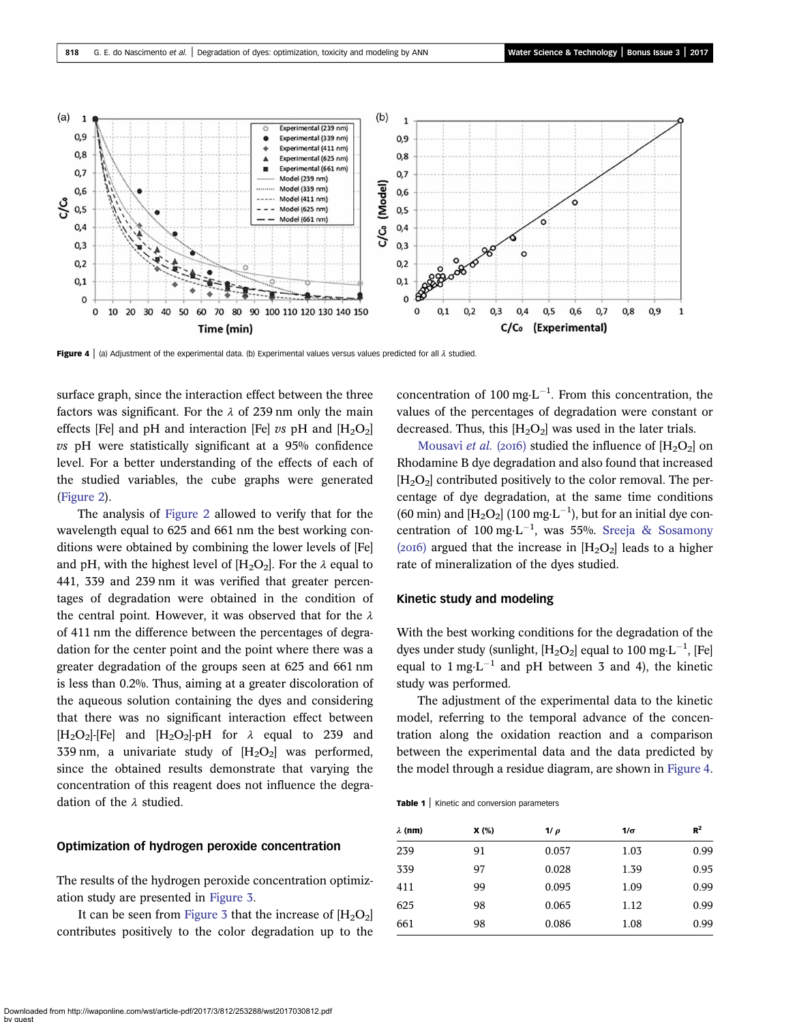<span id="page-6-0"></span>

Figure 4 | (a) Adjustment of the experimental data. (b) Experimental values versus values predicted for all  $\lambda$  studied

surface graph, since the interaction effect between the three factors was significant. For the  $\lambda$  of 239 nm only the main effects [Fe] and pH and interaction [Fe] vs pH and  $[H_2O_2]$ vs pH were statistically significant at a 95% confidence level. For a better understanding of the effects of each of the studied variables, the cube graphs were generated ([Figure 2](#page-4-0)).

The analysis of [Figure 2](#page-4-0) allowed to verify that for the wavelength equal to 625 and 661 nm the best working conditions were obtained by combining the lower levels of [Fe] and pH, with the highest level of  $[H_2O_2]$ . For the  $\lambda$  equal to 441, 339 and 239 nm it was verified that greater percentages of degradation were obtained in the condition of the central point. However, it was observed that for the  $\lambda$ of 411 nm the difference between the percentages of degradation for the center point and the point where there was a greater degradation of the groups seen at 625 and 661 nm is less than 0.2%. Thus, aiming at a greater discoloration of the aqueous solution containing the dyes and considering that there was no significant interaction effect between  $[H_2O_2]$ -[Fe] and  $[H_2O_2]$ -pH for  $\lambda$  equal to 239 and 339 nm, a univariate study of  $[H_2O_2]$  was performed, since the obtained results demonstrate that varying the concentration of this reagent does not influence the degradation of the λ studied.

## Optimization of hydrogen peroxide concentration

The results of the hydrogen peroxide concentration optimization study are presented in [Figure 3.](#page-5-0)

It can be seen from [Figure 3](#page-5-0) that the increase of  $[H_2O_2]$ contributes positively to the color degradation up to the

concentration of 100 mg $\text{L}^{-1}$ . From this concentration, the values of the percentages of degradation were constant or decreased. Thus, this  $[H_2O_2]$  was used in the later trials.

[Mousavi](#page-11-0) *et al.* (2016) studied the influence of  $[H_2O_2]$  on Rhodamine B dye degradation and also found that increased  $[H<sub>2</sub>O<sub>2</sub>]$  contributed positively to the color removal. The percentage of dye degradation, at the same time conditions (60 min) and  $[H_2O_2]$  (100 mg·L<sup>-1</sup>), but for an initial dye con-centration of 100 mg·L<sup>-1</sup>, was 55%. [Sreeja & Sosamony](#page-11-0) (2016) argued that the increase in  $[H_2O_2]$  leads to a higher rate of mineralization of the dyes studied.

#### Kinetic study and modeling

With the best working conditions for the degradation of the dyes under study (sunlight,  $[H_2O_2]$  equal to 100 mg·L<sup>-1</sup>, [Fe] equal to  $1 \text{ mg} \cdot L^{-1}$  and pH between 3 and 4), the kinetic study was performed.

The adjustment of the experimental data to the kinetic model, referring to the temporal advance of the concentration along the oxidation reaction and a comparison between the experimental data and the data predicted by the model through a residue diagram, are shown in Figure 4.

Table 1 | Kinetic and conversion parameters

| $\lambda$ (nm) | X(%) | $1/\rho$ | $1/\sigma$ | $R^2$ |
|----------------|------|----------|------------|-------|
| 239            | 91   | 0.057    | 1.03       | 0.99  |
| 339            | 97   | 0.028    | 1.39       | 0.95  |
| 411            | 99   | 0.095    | 1.09       | 0.99  |
| 625            | 98   | 0.065    | 1.12       | 0.99  |
| 661            | 98   | 0.086    | 1.08       | 0.99  |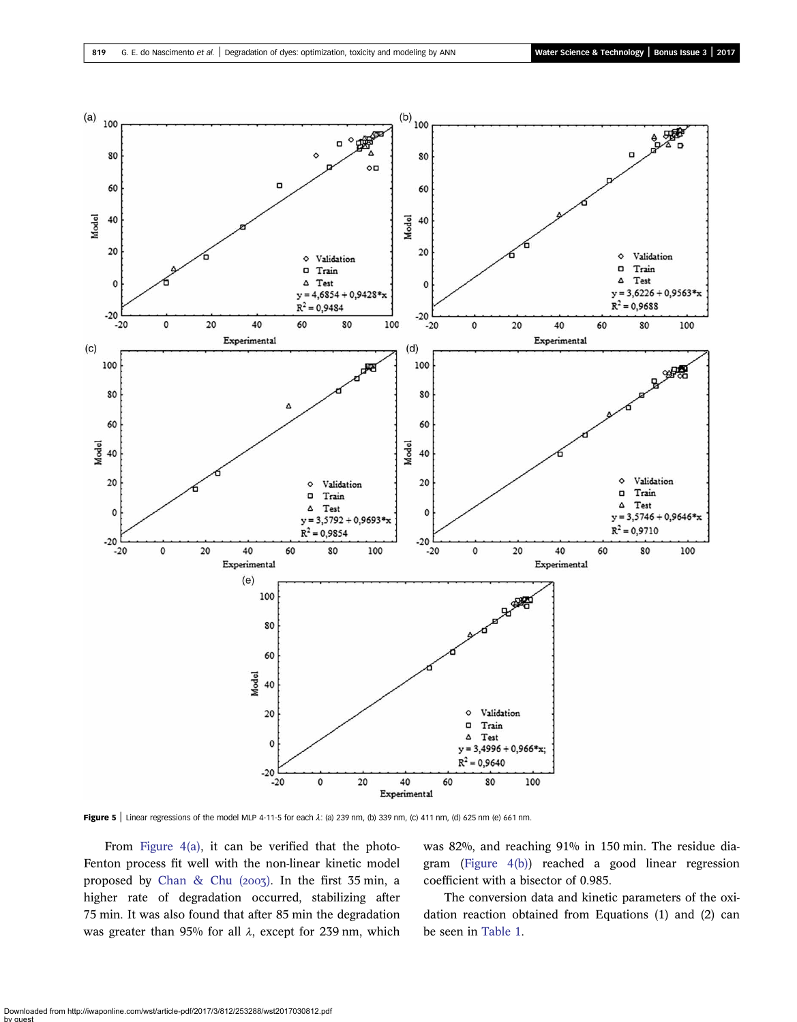<span id="page-7-0"></span>

Figure 5 | Linear regressions of the model MLP 4-11-5 for each  $\lambda$ : (a) 239 nm, (b) 339 nm, (c) 411 nm, (d) 625 nm (e) 661 nm.

From Figure  $4(a)$ , it can be verified that the photo-Fenton process fit well with the non-linear kinetic model proposed by Chan & Chu  $(2003)$ . In the first 35 min, a higher rate of degradation occurred, stabilizing after 75 min. It was also found that after 85 min the degradation was greater than 95% for all  $\lambda$ , except for 239 nm, which was 82%, and reaching 91% in 150 min. The residue diagram [\(Figure 4\(b\)](#page-6-0)) reached a good linear regression coefficient with a bisector of 0.985.

The conversion data and kinetic parameters of the oxidation reaction obtained from Equations (1) and (2) can be seen in [Table 1.](#page-6-0)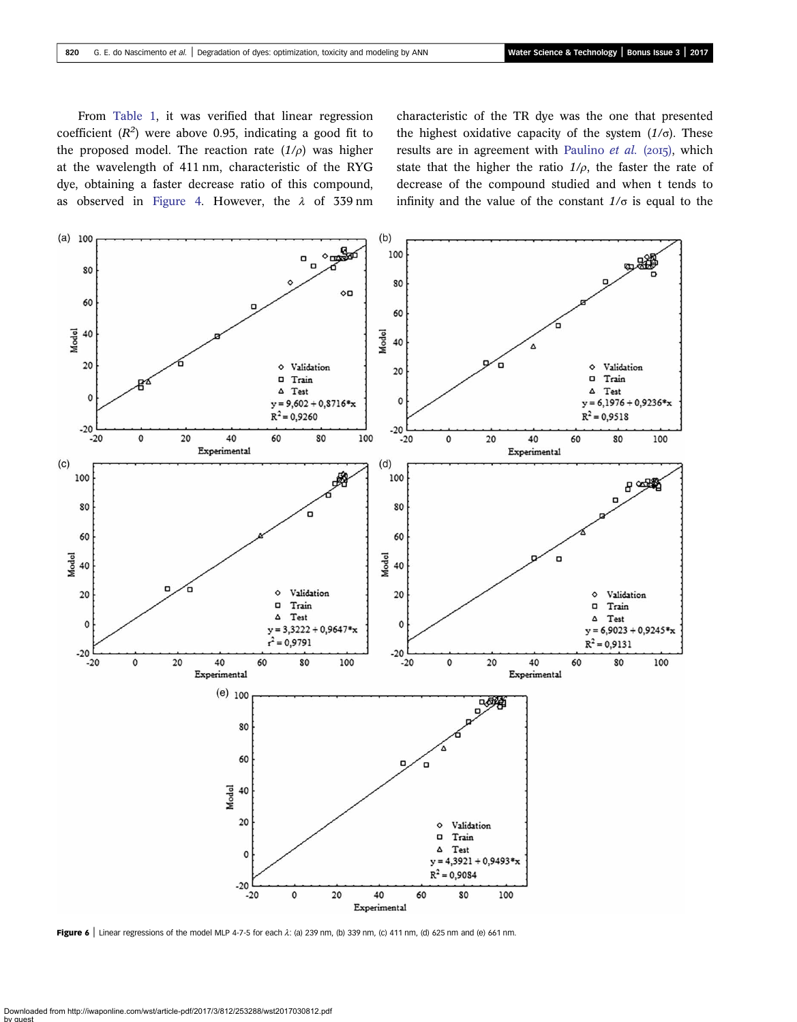<span id="page-8-0"></span>From [Table 1](#page-6-0), it was verified that linear regression coefficient  $(R^2)$  were above 0.95, indicating a good fit to the proposed model. The reaction rate  $(1/\rho)$  was higher at the wavelength of 411 nm, characteristic of the RYG dye, obtaining a faster decrease ratio of this compound, as observed in [Figure 4.](#page-6-0) However, the  $\lambda$  of 339 nm characteristic of the TR dye was the one that presented the highest oxidative capacity of the system  $(1/\sigma)$ . These results are in agreement with [Paulino](#page-11-0) et al. ( $2015$ ), which state that the higher the ratio  $1/\rho$ , the faster the rate of decrease of the compound studied and when t tends to infinity and the value of the constant  $1/\sigma$  is equal to the



Figure 6 | Linear regressions of the model MLP 4-7-5 for each  $\lambda$ : (a) 239 nm, (b) 339 nm, (c) 411 nm, (d) 625 nm and (e) 661 nm.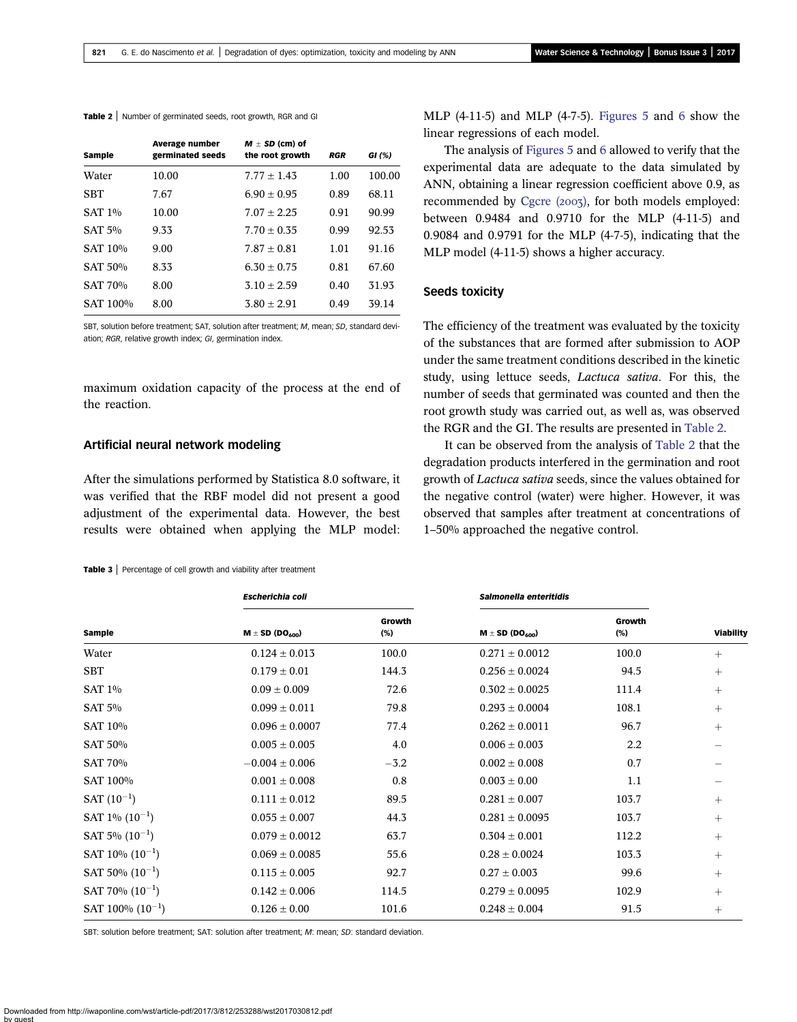<span id="page-9-0"></span>Table 2 | Number of germinated seeds, root growth, RGR and GI

| Sample         | <b>Average number</b><br>germinated seeds | $M \pm SD$ (cm) of<br>the root growth | <b>RGR</b> | GI $(%)$ |
|----------------|-------------------------------------------|---------------------------------------|------------|----------|
| Water          | 10.00                                     | $7.77 + 1.43$                         | 1.00       | 100.00   |
| <b>SBT</b>     | 7.67                                      | $6.90 + 0.95$                         | 0.89       | 68.11    |
| <b>SAT 1%</b>  | 10.00                                     | $7.07 + 2.25$                         | 0.91       | 90.99    |
| SAT 5%         | 9.33                                      | $7.70 \pm 0.35$                       | 0.99       | 92.53    |
| SAT 10%        | 9.00                                      | $7.87 \pm 0.81$                       | 1.01       | 91.16    |
| SAT 50%        | 8.33                                      | $6.30 \pm 0.75$                       | 0.81       | 67.60    |
| <b>SAT 70%</b> | 8.00                                      | $3.10 + 2.59$                         | 0.40       | 31.93    |
| SAT 100%       | 8.00                                      | $3.80 + 2.91$                         | 0.49       | 39.14    |
|                |                                           |                                       |            |          |

SBT, solution before treatment; SAT, solution after treatment; M, mean; SD, standard deviation; RGR, relative growth index; GI, germination index.

maximum oxidation capacity of the process at the end of the reaction.

## Artificial neural network modeling

After the simulations performed by Statistica 8.0 software, it was verified that the RBF model did not present a good adjustment of the experimental data. However, the best results were obtained when applying the MLP model:

#### Table 3 | Percentage of cell growth and viability after treatment

MLP  $(4-11-5)$  and MLP  $(4-7-5)$ . [Figures 5](#page-7-0) and [6](#page-8-0) show the linear regressions of each model.

The analysis of [Figures 5](#page-7-0) and [6](#page-8-0) allowed to verify that the experimental data are adequate to the data simulated by ANN, obtaining a linear regression coefficient above 0.9, as recommended by [Cgcre \(](#page-10-0)2003), for both models employed: between 0.9484 and 0.9710 for the MLP (4-11-5) and 0.9084 and 0.9791 for the MLP (4-7-5), indicating that the MLP model (4-11-5) shows a higher accuracy.

## Seeds toxicity

The efficiency of the treatment was evaluated by the toxicity of the substances that are formed after submission to AOP under the same treatment conditions described in the kinetic study, using lettuce seeds, Lactuca sativa. For this, the number of seeds that germinated was counted and then the root growth study was carried out, as well as, was observed the RGR and the GI. The results are presented in Table 2.

It can be observed from the analysis of Table 2 that the degradation products interfered in the germination and root growth of Lactuca sativa seeds, since the values obtained for the negative control (water) were higher. However, it was observed that samples after treatment at concentrations of 1–50% approached the negative control.

|                       | <b>Escherichia coli</b> |               | Salmonella enteritidis |               |                  |
|-----------------------|-------------------------|---------------|------------------------|---------------|------------------|
| Sample                | $M \pm SD (DO_{600})$   | Growth<br>(%) | $M \pm SD (DO_{600})$  | Growth<br>(%) | <b>Viability</b> |
| Water                 | $0.124 \pm 0.013$       | 100.0         | $0.271 \pm 0.0012$     | 100.0         | $+$              |
| <b>SBT</b>            | $0.179 \pm 0.01$        | 144.3         | $0.256 \pm 0.0024$     | 94.5          | $^{+}$           |
| <b>SAT 1%</b>         | $0.09 \pm 0.009$        | 72.6          | $0.302 \pm 0.0025$     | 111.4         | $+$              |
| <b>SAT 5%</b>         | $0.099 \pm 0.011$       | 79.8          | $0.293 \pm 0.0004$     | 108.1         | $+$              |
| SAT 10%               | $0.096 \pm 0.0007$      | 77.4          | $0.262 \pm 0.0011$     | 96.7          | $+$              |
| <b>SAT 50%</b>        | $0.005 \pm 0.005$       | 4.0           | $0.006 \pm 0.003$      | 2.2           |                  |
| SAT 70%               | $-0.004 \pm 0.006$      | $-3.2$        | $0.002 \pm 0.008$      | 0.7           |                  |
| SAT 100%              | $0.001 \pm 0.008$       | 0.8           | $0.003 \pm 0.00$       | 1.1           |                  |
| $SAT (10^{-1})$       | $0.111 \pm 0.012$       | 89.5          | $0.281 \pm 0.007$      | 103.7         | $+$              |
| SAT $1\%$ $(10^{-1})$ | $0.055 \pm 0.007$       | 44.3          | $0.281 \pm 0.0095$     | 103.7         | $+$              |
| SAT 5% $(10^{-1})$    | $0.079 \pm 0.0012$      | 63.7          | $0.304 \pm 0.001$      | 112.2         | $^{+}$           |
| SAT 10% $(10^{-1})$   | $0.069 \pm 0.0085$      | 55.6          | $0.28 \pm 0.0024$      | 103.3         | $^{+}$           |
| SAT 50% $(10^{-1})$   | $0.115 \pm 0.005$       | 92.7          | $0.27 \pm 0.003$       | 99.6          | $+$              |
| SAT 70% $(10^{-1})$   | $0.142 \pm 0.006$       | 114.5         | $0.279 \pm 0.0095$     | 102.9         | $+$              |
| SAT 100% $(10^{-1})$  | $0.126 \pm 0.00$        | 101.6         | $0.248 \pm 0.004$      | 91.5          | $^{+}$           |

SBT: solution before treatment; SAT: solution after treatment; M: mean; SD: standard deviation.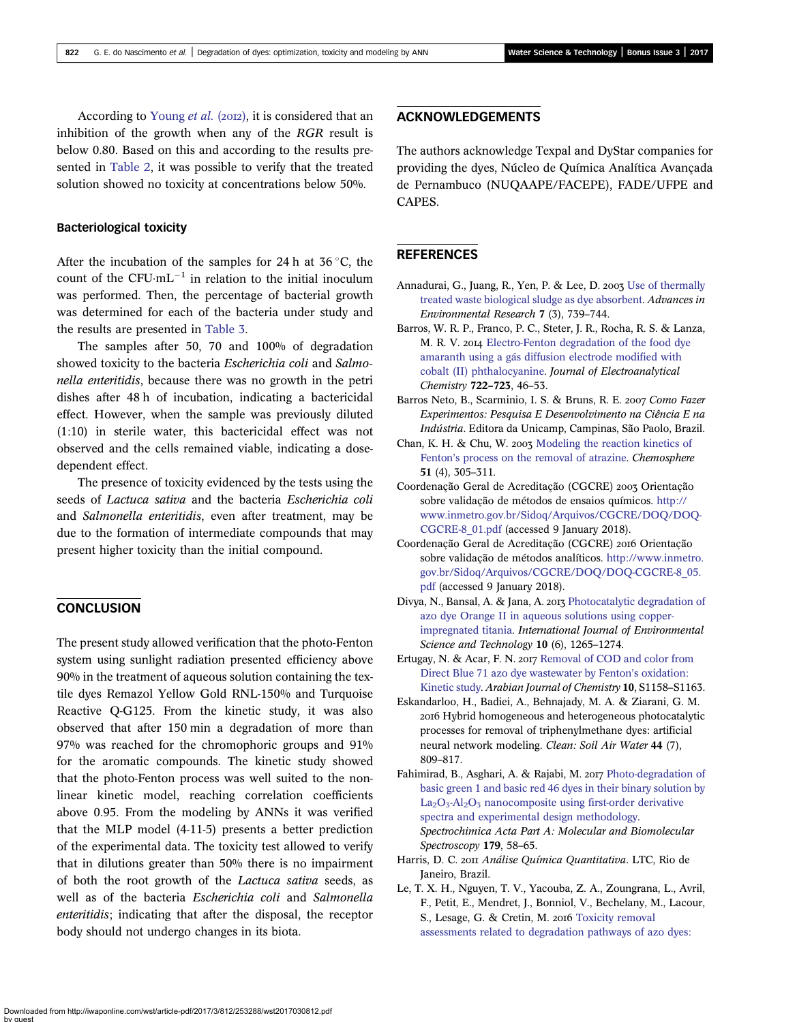<span id="page-10-0"></span>According to [Young](#page-11-0) et al. (2012), it is considered that an inhibition of the growth when any of the RGR result is below 0.80. Based on this and according to the results presented in [Table 2](#page-9-0), it was possible to verify that the treated solution showed no toxicity at concentrations below 50%.

## Bacteriological toxicity

After the incubation of the samples for 24 h at  $36^{\circ}$ C, the count of the  $CFU·mL^{-1}$  in relation to the initial inoculum was performed. Then, the percentage of bacterial growth was determined for each of the bacteria under study and the results are presented in [Table 3](#page-9-0).

The samples after 50, 70 and 100% of degradation showed toxicity to the bacteria *Escherichia coli* and *Salmo*nella enteritidis, because there was no growth in the petri dishes after 48 h of incubation, indicating a bactericidal effect. However, when the sample was previously diluted (1:10) in sterile water, this bactericidal effect was not observed and the cells remained viable, indicating a dosedependent effect.

The presence of toxicity evidenced by the tests using the seeds of Lactuca sativa and the bacteria Escherichia coli and Salmonella enteritidis, even after treatment, may be due to the formation of intermediate compounds that may present higher toxicity than the initial compound.

# **CONCLUSION**

The present study allowed verification that the photo-Fenton system using sunlight radiation presented efficiency above 90% in the treatment of aqueous solution containing the textile dyes Remazol Yellow Gold RNL-150% and Turquoise Reactive Q-G125. From the kinetic study, it was also observed that after 150 min a degradation of more than 97% was reached for the chromophoric groups and 91% for the aromatic compounds. The kinetic study showed that the photo-Fenton process was well suited to the nonlinear kinetic model, reaching correlation coefficients above 0.95. From the modeling by ANNs it was verified that the MLP model (4-11-5) presents a better prediction of the experimental data. The toxicity test allowed to verify that in dilutions greater than 50% there is no impairment of both the root growth of the Lactuca sativa seeds, as well as of the bacteria Escherichia coli and Salmonella enteritidis; indicating that after the disposal, the receptor body should not undergo changes in its biota.

# ACKNOWLEDGEMENTS

The authors acknowledge Texpal and DyStar companies for providing the dyes, Núcleo de Química Analítica Avançada de Pernambuco (NUQAAPE/FACEPE), FADE/UFPE and CAPES.

## **REFERENCES**

- Annadurai, G., Juang, R., Yen, P. & Lee, D. 2003 [Use of thermally](http://dx.doi.org/10.1016/S1093-0191(02)00044-8) [treated waste biological sludge as dye absorbent](http://dx.doi.org/10.1016/S1093-0191(02)00044-8). Advances in Environmental Research 7 (3), 739–744.
- Barros, W. R. P., Franco, P. C., Steter, J. R., Rocha, R. S. & Lanza, M. R. V. 2014 [Electro-Fenton degradation of the food dye](http://dx.doi.org/10.1016/j.jelechem.2014.03.027) [amaranth using a gás diffusion electrode modified with](http://dx.doi.org/10.1016/j.jelechem.2014.03.027) [cobalt \(II\) phthalocyanine](http://dx.doi.org/10.1016/j.jelechem.2014.03.027). Journal of Electroanalytical Chemistry 722–723, 46–53.
- Barros Neto, B., Scarminio, I. S. & Bruns, R. E. 2007 Como Fazer Experimentos: Pesquisa E Desenvolvimento na Ciência E na Indústria. Editora da Unicamp, Campinas, São Paolo, Brazil.
- Chan, K. H. & Chu, W. 2003 [Modeling the reaction kinetics of](http://dx.doi.org/10.1016/S0045-6535(02)00812-3) Fenton'[s process on the removal of atrazine](http://dx.doi.org/10.1016/S0045-6535(02)00812-3). Chemosphere 51 (4), 305–311.
- Coordenação Geral de Acreditação (CGCRE) 2003 Orientação sobre validação de métodos de ensaios químicos. [http://](http://www.inmetro.gov.br/Sidoq/Arquivos/CGCRE/DOQ/DOQ-CGCRE-8_01.pdf) [www.inmetro.gov.br/Sidoq/Arquivos/CGCRE/DOQ/DOQ-](http://www.inmetro.gov.br/Sidoq/Arquivos/CGCRE/DOQ/DOQ-CGCRE-8_01.pdf)[CGCRE-8\\_01.pdf](http://www.inmetro.gov.br/Sidoq/Arquivos/CGCRE/DOQ/DOQ-CGCRE-8_01.pdf) (accessed 9 January 2018).
- Coordenação Geral de Acreditação (CGCRE) 2016 Orientação sobre validação de métodos analíticos. [http://www.inmetro.](http://www.inmetro.gov.br/Sidoq/Arquivos/CGCRE/DOQ/DOQ-CGCRE-8_05.pdf) [gov.br/Sidoq/Arquivos/CGCRE/DOQ/DOQ-CGCRE-8\\_05.](http://www.inmetro.gov.br/Sidoq/Arquivos/CGCRE/DOQ/DOQ-CGCRE-8_05.pdf) [pdf](http://www.inmetro.gov.br/Sidoq/Arquivos/CGCRE/DOQ/DOQ-CGCRE-8_05.pdf) (accessed 9 January 2018).
- Divya, N., Bansal, A. & Jana, A. 2013 [Photocatalytic degradation of](http://dx.doi.org/10.1007/s13762-013-0238-8) [azo dye Orange II in aqueous solutions using copper](http://dx.doi.org/10.1007/s13762-013-0238-8)[impregnated titania.](http://dx.doi.org/10.1007/s13762-013-0238-8) International Journal of Environmental Science and Technology 10 (6), 1265-1274.
- Ertugay, N. & Acar, F. N. 2017 [Removal of COD and color from](http://dx.doi.org/10.1016/j.arabjc.2013.02.009) [Direct Blue 71 azo dye wastewater by Fenton](http://dx.doi.org/10.1016/j.arabjc.2013.02.009)'s oxidation: [Kinetic study.](http://dx.doi.org/10.1016/j.arabjc.2013.02.009) Arabian Journal of Chemistry 10, S1158–S1163.
- Eskandarloo, H., Badiei, A., Behnajady, M. A. & Ziarani, G. M. 2016 Hybrid homogeneous and heterogeneous photocatalytic processes for removal of triphenylmethane dyes: artificial neural network modeling. Clean: Soil Air Water 44 (7), 809–817.
- Fahimirad, B., Asghari, A. & Rajabi, M. 2017 [Photo-degradation of](http://dx.doi.org/10.1016/j.saa.2017.02.022) [basic green 1 and basic red 46 dyes in their binary solution by](http://dx.doi.org/10.1016/j.saa.2017.02.022)  $La<sub>2</sub>O<sub>3</sub>-Al<sub>2</sub>O<sub>3</sub>$  [nanocomposite using first-order derivative](http://dx.doi.org/10.1016/j.saa.2017.02.022) [spectra and experimental design methodology.](http://dx.doi.org/10.1016/j.saa.2017.02.022) Spectrochimica Acta Part A: Molecular and Biomolecular Spectroscopy 179, 58–65.
- Harris, D. C. 2011 Análise Química Quantitativa. LTC, Rio de Janeiro, Brazil.
- Le, T. X. H., Nguyen, T. V., Yacouba, Z. A., Zoungrana, L., Avril, F., Petit, E., Mendret, J., Bonniol, V., Bechelany, M., Lacour, S., Lesage, G. & Cretin, M. 2016 [Toxicity removal](http://dx.doi.org/10.1016/j.chemosphere.2016.06.108) [assessments related to degradation pathways of azo dyes:](http://dx.doi.org/10.1016/j.chemosphere.2016.06.108)

Downloaded from http://iwaponline.com/wst/article-pdf/2017/3/812/253288/wst2017030812.pdf by guest